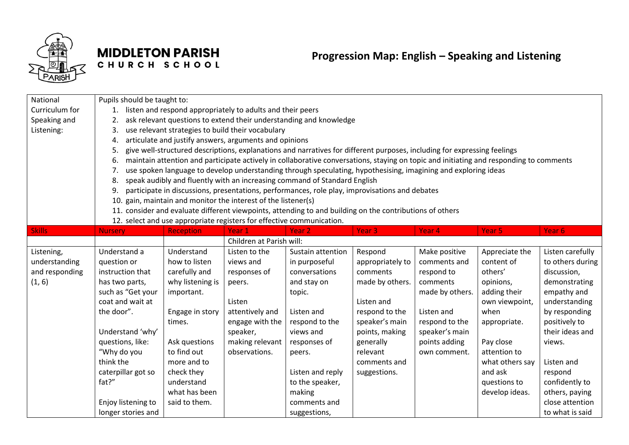

## **MIDDLETON PARISH** CHURCH SCHOOL

| National       | Pupils should be taught to:                                        |                                                                                                                                        |                                                                       |                                                                                                          |                   |                   |                   |                  |  |  |
|----------------|--------------------------------------------------------------------|----------------------------------------------------------------------------------------------------------------------------------------|-----------------------------------------------------------------------|----------------------------------------------------------------------------------------------------------|-------------------|-------------------|-------------------|------------------|--|--|
| Curriculum for | listen and respond appropriately to adults and their peers<br>1.   |                                                                                                                                        |                                                                       |                                                                                                          |                   |                   |                   |                  |  |  |
| Speaking and   | ask relevant questions to extend their understanding and knowledge |                                                                                                                                        |                                                                       |                                                                                                          |                   |                   |                   |                  |  |  |
| Listening:     | 3.<br>use relevant strategies to build their vocabulary            |                                                                                                                                        |                                                                       |                                                                                                          |                   |                   |                   |                  |  |  |
|                | articulate and justify answers, arguments and opinions<br>4.       |                                                                                                                                        |                                                                       |                                                                                                          |                   |                   |                   |                  |  |  |
|                | 5.                                                                 | give well-structured descriptions, explanations and narratives for different purposes, including for expressing feelings               |                                                                       |                                                                                                          |                   |                   |                   |                  |  |  |
|                | 6.                                                                 | maintain attention and participate actively in collaborative conversations, staying on topic and initiating and responding to comments |                                                                       |                                                                                                          |                   |                   |                   |                  |  |  |
|                | 7.                                                                 | use spoken language to develop understanding through speculating, hypothesising, imagining and exploring ideas                         |                                                                       |                                                                                                          |                   |                   |                   |                  |  |  |
|                | 8.                                                                 |                                                                                                                                        |                                                                       | speak audibly and fluently with an increasing command of Standard English                                |                   |                   |                   |                  |  |  |
|                | 9.                                                                 |                                                                                                                                        |                                                                       | participate in discussions, presentations, performances, role play, improvisations and debates           |                   |                   |                   |                  |  |  |
|                | 10.                                                                |                                                                                                                                        | gain, maintain and monitor the interest of the listener(s)            |                                                                                                          |                   |                   |                   |                  |  |  |
|                |                                                                    |                                                                                                                                        |                                                                       | 11. consider and evaluate different viewpoints, attending to and building on the contributions of others |                   |                   |                   |                  |  |  |
|                |                                                                    |                                                                                                                                        | 12. select and use appropriate registers for effective communication. |                                                                                                          |                   |                   |                   |                  |  |  |
| <b>Skills</b>  | <b>Nursery</b>                                                     | <b>Reception</b>                                                                                                                       | Year <sub>1</sub>                                                     | Year <sub>2</sub>                                                                                        | Year <sub>3</sub> | Year <sub>4</sub> | Year <sub>5</sub> | Year 6           |  |  |
|                |                                                                    |                                                                                                                                        | Children at Parish will:                                              |                                                                                                          |                   |                   |                   |                  |  |  |
| Listening,     | Understand a                                                       | Understand                                                                                                                             | Listen to the                                                         | Sustain attention                                                                                        | Respond           | Make positive     | Appreciate the    | Listen carefully |  |  |
| understanding  | question or                                                        | how to listen                                                                                                                          | views and                                                             | in purposeful                                                                                            | appropriately to  | comments and      | content of        | to others during |  |  |
| and responding | instruction that                                                   | carefully and                                                                                                                          | responses of                                                          | conversations                                                                                            | comments          | respond to        | others'           | discussion,      |  |  |
| (1, 6)         | has two parts,                                                     | why listening is                                                                                                                       | peers.                                                                | and stay on                                                                                              | made by others.   | comments          | opinions,         | demonstrating    |  |  |
|                | such as "Get your                                                  | important.                                                                                                                             |                                                                       | topic.                                                                                                   |                   | made by others.   | adding their      | empathy and      |  |  |
|                | coat and wait at                                                   |                                                                                                                                        | Listen                                                                |                                                                                                          | Listen and        |                   | own viewpoint,    | understanding    |  |  |
|                | the door".                                                         | Engage in story                                                                                                                        | attentively and                                                       | Listen and                                                                                               | respond to the    | Listen and        | when              | by responding    |  |  |
|                |                                                                    | times.                                                                                                                                 | engage with the                                                       | respond to the                                                                                           | speaker's main    | respond to the    | appropriate.      | positively to    |  |  |
|                | Understand 'why'                                                   |                                                                                                                                        | speaker,                                                              | views and                                                                                                | points, making    | speaker's main    |                   | their ideas and  |  |  |
|                | questions, like:                                                   | Ask questions                                                                                                                          | making relevant                                                       | responses of                                                                                             | generally         | points adding     | Pay close         | views.           |  |  |
|                | "Why do you                                                        | to find out                                                                                                                            | observations.                                                         | peers.                                                                                                   | relevant          | own comment.      | attention to      |                  |  |  |
|                | think the                                                          | more and to                                                                                                                            |                                                                       |                                                                                                          | comments and      |                   | what others say   | Listen and       |  |  |
|                | caterpillar got so                                                 | check they                                                                                                                             |                                                                       | Listen and reply                                                                                         | suggestions.      |                   | and ask           | respond          |  |  |
|                | fat?"                                                              | understand                                                                                                                             |                                                                       | to the speaker,                                                                                          |                   |                   | questions to      | confidently to   |  |  |
|                |                                                                    | what has been                                                                                                                          |                                                                       | making                                                                                                   |                   |                   | develop ideas.    | others, paying   |  |  |
|                | Enjoy listening to                                                 | said to them.                                                                                                                          |                                                                       | comments and                                                                                             |                   |                   |                   | close attention  |  |  |
|                | longer stories and                                                 |                                                                                                                                        |                                                                       | suggestions,                                                                                             |                   |                   |                   | to what is said  |  |  |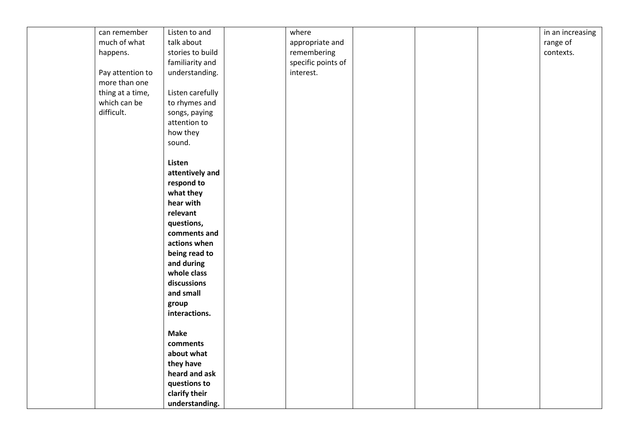| can remember     | Listen to and    | where              |  | in an increasing |
|------------------|------------------|--------------------|--|------------------|
| much of what     | talk about       | appropriate and    |  | range of         |
| happens.         | stories to build | remembering        |  | contexts.        |
|                  | familiarity and  | specific points of |  |                  |
| Pay attention to | understanding.   | interest.          |  |                  |
| more than one    |                  |                    |  |                  |
| thing at a time, | Listen carefully |                    |  |                  |
| which can be     | to rhymes and    |                    |  |                  |
| difficult.       | songs, paying    |                    |  |                  |
|                  | attention to     |                    |  |                  |
|                  | how they         |                    |  |                  |
|                  | sound.           |                    |  |                  |
|                  |                  |                    |  |                  |
|                  | Listen           |                    |  |                  |
|                  | attentively and  |                    |  |                  |
|                  | respond to       |                    |  |                  |
|                  | what they        |                    |  |                  |
|                  | hear with        |                    |  |                  |
|                  | relevant         |                    |  |                  |
|                  |                  |                    |  |                  |
|                  | questions,       |                    |  |                  |
|                  | comments and     |                    |  |                  |
|                  | actions when     |                    |  |                  |
|                  | being read to    |                    |  |                  |
|                  | and during       |                    |  |                  |
|                  | whole class      |                    |  |                  |
|                  | discussions      |                    |  |                  |
|                  | and small        |                    |  |                  |
|                  | group            |                    |  |                  |
|                  | interactions.    |                    |  |                  |
|                  |                  |                    |  |                  |
|                  | <b>Make</b>      |                    |  |                  |
|                  | comments         |                    |  |                  |
|                  | about what       |                    |  |                  |
|                  | they have        |                    |  |                  |
|                  | heard and ask    |                    |  |                  |
|                  | questions to     |                    |  |                  |
|                  | clarify their    |                    |  |                  |
|                  | understanding.   |                    |  |                  |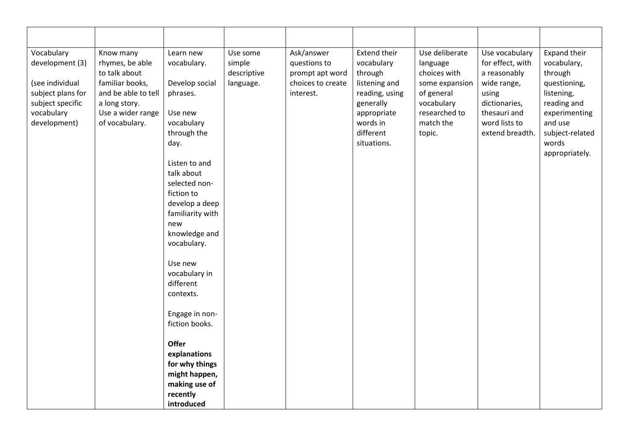| Vocabulary<br>development (3)<br>(see individual<br>subject plans for<br>subject specific<br>vocabulary<br>development) | Know many<br>rhymes, be able<br>to talk about<br>familiar books,<br>and be able to tell<br>a long story.<br>Use a wider range<br>of vocabulary. | Learn new<br>vocabulary.<br>Develop social<br>phrases.<br>Use new<br>vocabulary<br>through the<br>day.<br>Listen to and<br>talk about<br>selected non-<br>fiction to<br>develop a deep<br>familiarity with<br>new<br>knowledge and<br>vocabulary.<br>Use new<br>vocabulary in<br>different<br>contexts.<br>Engage in non-<br>fiction books.<br><b>Offer</b><br>explanations<br>for why things<br>might happen,<br>making use of | Use some<br>simple<br>descriptive<br>language. | Ask/answer<br>questions to<br>prompt apt word<br>choices to create<br>interest. | <b>Extend their</b><br>vocabulary<br>through<br>listening and<br>reading, using<br>generally<br>appropriate<br>words in<br>different<br>situations. | Use deliberate<br>language<br>choices with<br>some expansion<br>of general<br>vocabulary<br>researched to<br>match the<br>topic. | Use vocabulary<br>for effect, with<br>a reasonably<br>wide range,<br>using<br>dictionaries,<br>thesauri and<br>word lists to<br>extend breadth. | Expand their<br>vocabulary,<br>through<br>questioning,<br>listening,<br>reading and<br>experimenting<br>and use<br>subject-related<br>words<br>appropriately. |
|-------------------------------------------------------------------------------------------------------------------------|-------------------------------------------------------------------------------------------------------------------------------------------------|---------------------------------------------------------------------------------------------------------------------------------------------------------------------------------------------------------------------------------------------------------------------------------------------------------------------------------------------------------------------------------------------------------------------------------|------------------------------------------------|---------------------------------------------------------------------------------|-----------------------------------------------------------------------------------------------------------------------------------------------------|----------------------------------------------------------------------------------------------------------------------------------|-------------------------------------------------------------------------------------------------------------------------------------------------|---------------------------------------------------------------------------------------------------------------------------------------------------------------|
|                                                                                                                         |                                                                                                                                                 | recently<br>introduced                                                                                                                                                                                                                                                                                                                                                                                                          |                                                |                                                                                 |                                                                                                                                                     |                                                                                                                                  |                                                                                                                                                 |                                                                                                                                                               |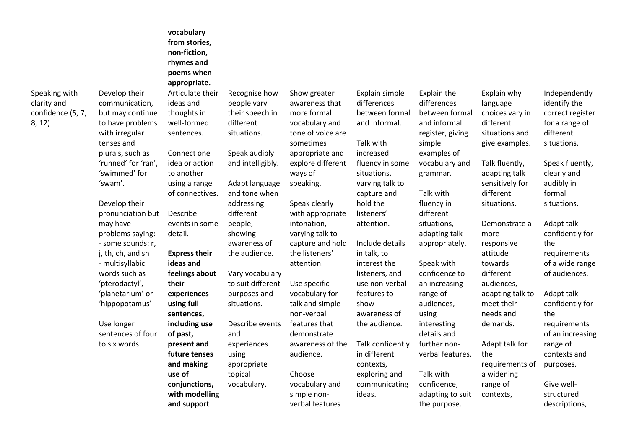|                   |                     | vocabulary           |                   |                   |                  |                  |                  |                  |
|-------------------|---------------------|----------------------|-------------------|-------------------|------------------|------------------|------------------|------------------|
|                   |                     | from stories,        |                   |                   |                  |                  |                  |                  |
|                   |                     | non-fiction,         |                   |                   |                  |                  |                  |                  |
|                   |                     | rhymes and           |                   |                   |                  |                  |                  |                  |
|                   |                     | poems when           |                   |                   |                  |                  |                  |                  |
|                   |                     | appropriate.         |                   |                   |                  |                  |                  |                  |
| Speaking with     | Develop their       | Articulate their     | Recognise how     | Show greater      | Explain simple   | Explain the      | Explain why      | Independently    |
| clarity and       | communication,      | ideas and            | people vary       | awareness that    | differences      | differences      | language         | identify the     |
| confidence (5, 7, | but may continue    | thoughts in          | their speech in   | more formal       | between formal   | between formal   | choices vary in  | correct register |
| 8, 12)            | to have problems    | well-formed          | different         | vocabulary and    | and informal.    | and informal     | different        | for a range of   |
|                   | with irregular      | sentences.           | situations.       | tone of voice are |                  | register, giving | situations and   | different        |
|                   | tenses and          |                      |                   | sometimes         | Talk with        | simple           | give examples.   | situations.      |
|                   | plurals, such as    | Connect one          | Speak audibly     | appropriate and   | increased        | examples of      |                  |                  |
|                   | 'runned' for 'ran', | idea or action       | and intelligibly. | explore different | fluency in some  | vocabulary and   | Talk fluently,   | Speak fluently,  |
|                   | 'swimmed' for       | to another           |                   | ways of           | situations,      | grammar.         | adapting talk    | clearly and      |
|                   | 'swam'.             | using a range        | Adapt language    | speaking.         | varying talk to  |                  | sensitively for  | audibly in       |
|                   |                     | of connectives.      | and tone when     |                   | capture and      | Talk with        | different        | formal           |
|                   | Develop their       |                      | addressing        | Speak clearly     | hold the         | fluency in       | situations.      | situations.      |
|                   | pronunciation but   | Describe             | different         | with appropriate  | listeners'       | different        |                  |                  |
|                   | may have            | events in some       | people,           | intonation,       | attention.       | situations,      | Demonstrate a    | Adapt talk       |
|                   | problems saying:    | detail.              | showing           | varying talk to   |                  | adapting talk    | more             | confidently for  |
|                   | - some sounds: r,   |                      | awareness of      | capture and hold  | Include details  | appropriately.   | responsive       | the              |
|                   | j, th, ch, and sh   | <b>Express their</b> | the audience.     | the listeners'    | in talk, to      |                  | attitude         | requirements     |
|                   | - multisyllabic     | ideas and            |                   | attention.        | interest the     | Speak with       | towards          | of a wide range  |
|                   | words such as       | feelings about       | Vary vocabulary   |                   | listeners, and   | confidence to    | different        | of audiences.    |
|                   | 'pterodactyl',      | their                | to suit different | Use specific      | use non-verbal   | an increasing    | audiences,       |                  |
|                   | 'planetarium' or    | experiences          | purposes and      | vocabulary for    | features to      | range of         | adapting talk to | Adapt talk       |
|                   | 'hippopotamus'      | using full           | situations.       | talk and simple   | show             | audiences,       | meet their       | confidently for  |
|                   |                     | sentences,           |                   | non-verbal        | awareness of     | using            | needs and        | the              |
|                   | Use longer          | including use        | Describe events   | features that     | the audience.    | interesting      | demands.         | requirements     |
|                   | sentences of four   | of past,             | and               | demonstrate       |                  | details and      |                  | of an increasing |
|                   | to six words        | present and          | experiences       | awareness of the  | Talk confidently | further non-     | Adapt talk for   | range of         |
|                   |                     | future tenses        | using             | audience.         | in different     | verbal features. | the              | contexts and     |
|                   |                     | and making           | appropriate       |                   | contexts,        |                  | requirements of  | purposes.        |
|                   |                     | use of               | topical           | Choose            | exploring and    | Talk with        | a widening       |                  |
|                   |                     | conjunctions,        | vocabulary.       | vocabulary and    | communicating    | confidence,      | range of         | Give well-       |
|                   |                     | with modelling       |                   | simple non-       | ideas.           | adapting to suit | contexts,        | structured       |
|                   |                     | and support          |                   | verbal features   |                  | the purpose.     |                  | descriptions,    |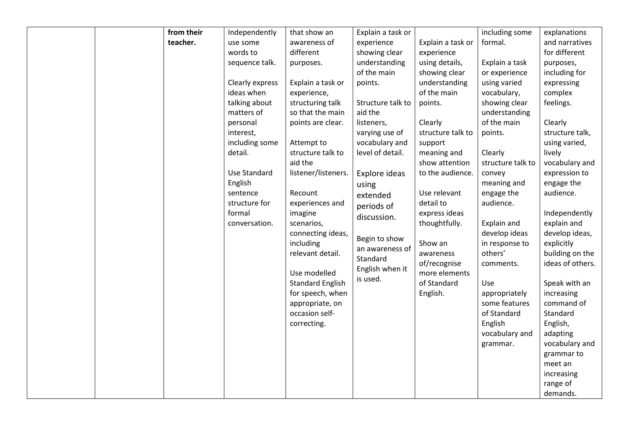|  | from their | Independently   | that show an            | Explain a task or |                   | including some    | explanations     |
|--|------------|-----------------|-------------------------|-------------------|-------------------|-------------------|------------------|
|  | teacher.   | use some        | awareness of            | experience        | Explain a task or | formal.           | and narratives   |
|  |            | words to        | different               | showing clear     | experience        |                   | for different    |
|  |            | sequence talk.  | purposes.               | understanding     | using details,    | Explain a task    | purposes,        |
|  |            |                 |                         | of the main       | showing clear     | or experience     | including for    |
|  |            | Clearly express | Explain a task or       | points.           | understanding     | using varied      | expressing       |
|  |            | ideas when      | experience,             |                   | of the main       | vocabulary,       | complex          |
|  |            | talking about   | structuring talk        | Structure talk to | points.           | showing clear     | feelings.        |
|  |            | matters of      | so that the main        | aid the           |                   | understanding     |                  |
|  |            | personal        | points are clear.       | listeners,        | Clearly           | of the main       | Clearly          |
|  |            | interest,       |                         | varying use of    | structure talk to | points.           | structure talk,  |
|  |            | including some  | Attempt to              | vocabulary and    | support           |                   | using varied,    |
|  |            | detail.         | structure talk to       | level of detail.  | meaning and       | Clearly           | lively           |
|  |            |                 | aid the                 |                   | show attention    | structure talk to | vocabulary and   |
|  |            | Use Standard    | listener/listeners.     | Explore ideas     | to the audience.  | convey            | expression to    |
|  |            | English         |                         | using             |                   | meaning and       | engage the       |
|  |            | sentence        | Recount                 | extended          | Use relevant      | engage the        | audience.        |
|  |            | structure for   | experiences and         | periods of        | detail to         | audience.         |                  |
|  |            | formal          | imagine                 | discussion.       | express ideas     |                   | Independently    |
|  |            | conversation.   | scenarios,              |                   | thoughtfully.     | Explain and       | explain and      |
|  |            |                 | connecting ideas,       | Begin to show     |                   | develop ideas     | develop ideas,   |
|  |            |                 | including               | an awareness of   | Show an           | in response to    | explicitly       |
|  |            |                 | relevant detail.        | Standard          | awareness         | others'           | building on the  |
|  |            |                 |                         | English when it   | of/recognise      | comments.         | ideas of others. |
|  |            |                 | Use modelled            | is used.          | more elements     |                   |                  |
|  |            |                 | <b>Standard English</b> |                   | of Standard       | Use               | Speak with an    |
|  |            |                 | for speech, when        |                   | English.          | appropriately     | increasing       |
|  |            |                 | appropriate, on         |                   |                   | some features     | command of       |
|  |            |                 | occasion self-          |                   |                   | of Standard       | Standard         |
|  |            |                 | correcting.             |                   |                   | English           | English,         |
|  |            |                 |                         |                   |                   | vocabulary and    | adapting         |
|  |            |                 |                         |                   |                   | grammar.          | vocabulary and   |
|  |            |                 |                         |                   |                   |                   | grammar to       |
|  |            |                 |                         |                   |                   |                   | meet an          |
|  |            |                 |                         |                   |                   |                   | increasing       |
|  |            |                 |                         |                   |                   |                   | range of         |
|  |            |                 |                         |                   |                   |                   | demands.         |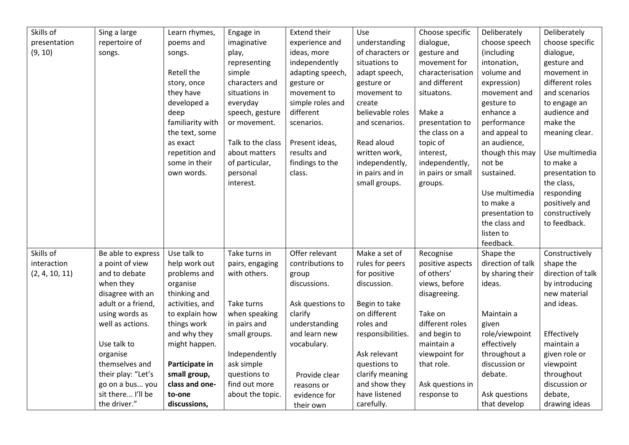| Skills of      | Sing a large       | Learn rhymes,    | Engage in         | <b>Extend their</b> | Use               | Choose specific   | Deliberately      | Deliberately      |
|----------------|--------------------|------------------|-------------------|---------------------|-------------------|-------------------|-------------------|-------------------|
| presentation   | repertoire of      | poems and        | imaginative       | experience and      | understanding     | dialogue,         | choose speech     | choose specific   |
| (9, 10)        | songs.             | songs.           | play,             | ideas, more         | of characters or  | gesture and       | (including        | dialogue,         |
|                |                    |                  | representing      | independently       | situations to     | movement for      | intonation,       | gesture and       |
|                |                    | Retell the       | simple            | adapting speech,    | adapt speech,     | characterisation  | volume and        | movement in       |
|                |                    | story, once      | characters and    | gesture or          | gesture or        | and different     | expression)       | different roles   |
|                |                    | they have        | situations in     | movement to         | movement to       | situatons.        | movement and      | and scenarios     |
|                |                    | developed a      | everyday          | simple roles and    | create            |                   | gesture to        | to engage an      |
|                |                    | deep             | speech, gesture   | different           | believable roles  | Make a            | enhance a         | audience and      |
|                |                    | familiarity with | or movement.      | scenarios.          | and scenarios.    | presentation to   | performance       | make the          |
|                |                    | the text, some   |                   |                     |                   | the class on a    | and appeal to     | meaning clear.    |
|                |                    | as exact         | Talk to the class | Present ideas,      | Read aloud        | topic of          | an audience,      |                   |
|                |                    | repetition and   | about matters     | results and         | written work,     | interest,         | though this may   | Use multimedia    |
|                |                    | some in their    | of particular,    | findings to the     | independently,    | independently,    | not be            | to make a         |
|                |                    | own words.       | personal          | class.              | in pairs and in   | in pairs or small | sustained.        | presentation to   |
|                |                    |                  | interest.         |                     | small groups.     | groups.           |                   | the class,        |
|                |                    |                  |                   |                     |                   |                   | Use multimedia    | responding        |
|                |                    |                  |                   |                     |                   |                   | to make a         | positively and    |
|                |                    |                  |                   |                     |                   |                   | presentation to   | constructively    |
|                |                    |                  |                   |                     |                   |                   | the class and     | to feedback.      |
|                |                    |                  |                   |                     |                   |                   | listen to         |                   |
|                |                    |                  |                   |                     |                   |                   | feedback.         |                   |
| Skills of      | Be able to express | Use talk to      | Take turns in     | Offer relevant      | Make a set of     | Recognise         | Shape the         | Constructively    |
| interaction    | a point of view    | help work out    | pairs, engaging   | contributions to    | rules for peers   | positive aspects  | direction of talk | shape the         |
| (2, 4, 10, 11) | and to debate      | problems and     | with others.      | group               | for positive      | of others'        | by sharing their  | direction of talk |
|                | when they          | organise         |                   | discussions.        | discussion.       | views, before     | ideas.            | by introducing    |
|                | disagree with an   | thinking and     |                   |                     |                   | disagreeing.      |                   | new material      |
|                | adult or a friend, | activities, and  | Take turns        | Ask questions to    | Begin to take     |                   |                   | and ideas.        |
|                | using words as     | to explain how   | when speaking     | clarify             | on different      | Take on           | Maintain a        |                   |
|                | well as actions.   | things work      | in pairs and      | understanding       | roles and         | different roles   | given             |                   |
|                |                    | and why they     | small groups.     | and learn new       | responsibilities. | and begin to      | role/viewpoint    | Effectively       |
|                | Use talk to        | might happen.    |                   | vocabulary.         |                   | maintain a        | effectively       | maintain a        |
|                | organise           |                  | Independently     |                     | Ask relevant      | viewpoint for     | throughout a      | given role or     |
|                | themselves and     | Participate in   | ask simple        |                     | questions to      | that role.        | discussion or     | viewpoint         |
|                | their play: "Let's | small group,     | questions to      | Provide clear       | clarify meaning   |                   | debate.           | throughout        |
|                | go on a bus you    | class and one-   | find out more     | reasons or          | and show they     | Ask questions in  |                   | discussion or     |
|                | sit there I'll be  | to-one           | about the topic.  | evidence for        | have listened     | response to       | Ask questions     | debate,           |
|                | the driver."       | discussions,     |                   | their own           | carefully.        |                   | that develop      | drawing ideas     |